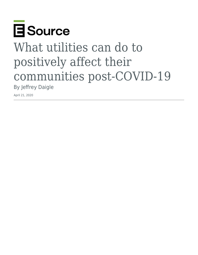

# What utilities can do to positively affect their communities post-COVID-19 By Jeffrey Daigle

April 21, 2020